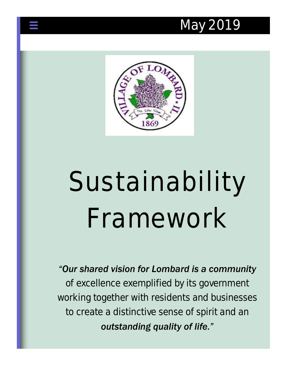### May 2019



# Sustainability Framework

#### *"Our shared vision for Lombard is a community*

*of excellence exemplified by its government working together with residents and businesses to create a distinctive sense of spirit and an outstanding quality of life."*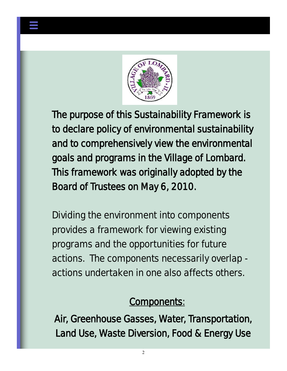

*The purpose of this Sustainability Framework is to declare policy of environmental sustainability and to comprehensively view the environmental goals and programs in the Village of Lombard. This framework was originally adopted by the Board of Trustees on May 6, 2010.* 

*Dividing the environment into components provides a framework for viewing existing programs and the opportunities for future actions. The components necessarily overlap actions undertaken in one also affects others.*

### *Components:*

*Air, Greenhouse Gasses, Water, Transportation, Land Use, Waste Diversion, Food & Energy Use*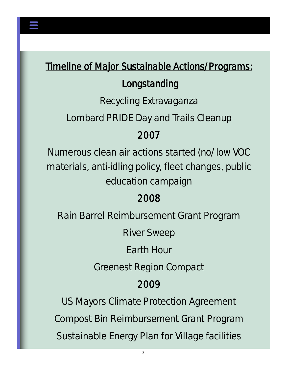### *Timeline of Major Sustainable Actions/Programs:*

### *Longstanding*

Recycling Extravaganza

Lombard PRIDE Day and Trails Cleanup

#### *2007*

Numerous clean air actions started (no/low VOC materials, anti-idling policy, fleet changes, public education campaign

### *2008*

Rain Barrel Reimbursement Grant Program

River Sweep

Earth Hour

Greenest Region Compact

### *2009*

US Mayors Climate Protection Agreement Compost Bin Reimbursement Grant Program Sustainable Energy Plan for Village facilities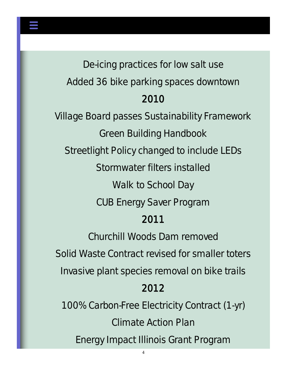

De-icing practices for low salt use Added 36 bike parking spaces downtown 2010 Village Board passes Sustainability Framework

Green Building Handbook Streetlight Policy changed to include LEDs Stormwater filters installed Walk to School Day CUB Energy Saver Program 2011

Churchill Woods Dam removed Solid Waste Contract revised for smaller toters Invasive plant species removal on bike trails 2012 100% Carbon-Free Electricity Contract (1-yr) Climate Action Plan Energy Impact Illinois Grant Program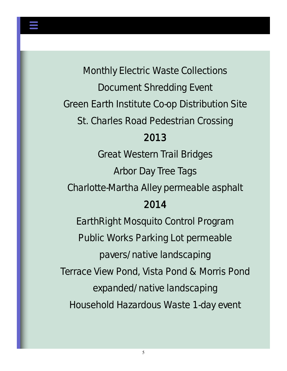

### Monthly Electric Waste Collections Document Shredding Event Green Earth Institute Co-op Distribution Site St. Charles Road Pedestrian Crossing 2013 Great Western Trail Bridges Arbor Day Tree Tags Charlotte-Martha Alley permeable asphalt 2014 EarthRight Mosquito Control Program Public Works Parking Lot permeable pavers/native landscaping Terrace View Pond, Vista Pond & Morris Pond expanded/native landscaping

Household Hazardous Waste 1-day event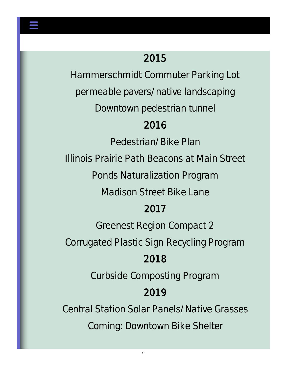

Hammerschmidt Commuter Parking Lot permeable pavers/native landscaping Downtown pedestrian tunnel 2016 Pedestrian/Bike Plan

Illinois Prairie Path Beacons at Main Street

Ponds Naturalization Program

Madison Street Bike Lane

#### 2017

Greenest Region Compact 2

Corrugated Plastic Sign Recycling Program

#### 2018

Curbside Composting Program

### 2019

Central Station Solar Panels/Native Grasses Coming: Downtown Bike Shelter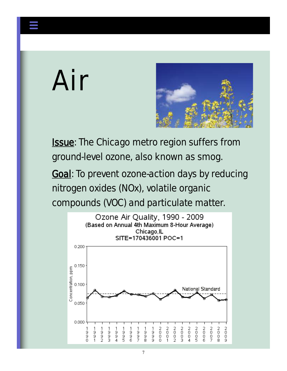## Air



*Issue: The Chicago metro region suffers from ground-level ozone, also known as smog.*

*Goal: To prevent ozone-action days by reducing nitrogen oxides (NOx), volatile organic compounds (VOC) and particulate matter.*

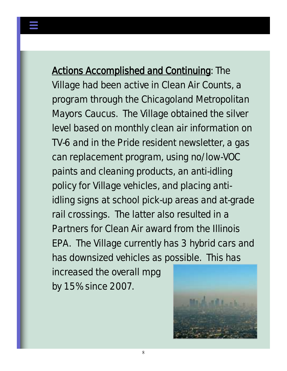*Actions Accomplished and Continuing: The Village had been active in Clean Air Counts, a program through the Chicagoland Metropolitan Mayors Caucus. The Village obtained the silver level based on monthly clean air information on TV-6 and in the Pride resident newsletter, a gas can replacement program, using no/low-VOC paints and cleaning products, an anti-idling policy for Village vehicles, and placing antiidling signs at school pick-up areas and at-grade rail crossings. The latter also resulted in a Partners for Clean Air award from the Illinois EPA. The Village currently has 3 hybrid cars and has downsized vehicles as possible. This has* 

*increased the overall mpg by 15% since 2007.* 

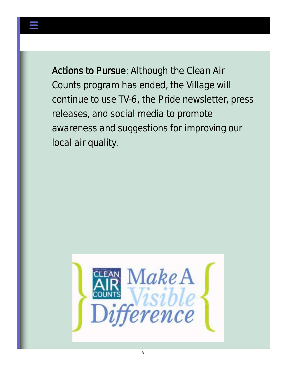*Actions to Pursue: Although the Clean Air Counts program has ended, the Village will continue to use TV-6, the Pride newsletter, press releases, and social media to promote awareness and suggestions for improving our local air quality.*

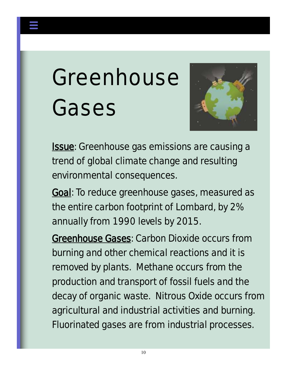### Greenhouse Gases



*Issue: Greenhouse gas emissions are causing a trend of global climate change and resulting environmental consequences.*

*Goal: To reduce greenhouse gases, measured as the entire carbon footprint of Lombard, by 2% annually from 1990 levels by 2015.* 

*Greenhouse Gases: Carbon Dioxide occurs from burning and other chemical reactions and it is removed by plants. Methane occurs from the production and transport of fossil fuels and the decay of organic waste. Nitrous Oxide occurs from agricultural and industrial activities and burning. Fluorinated gases are from industrial processes.*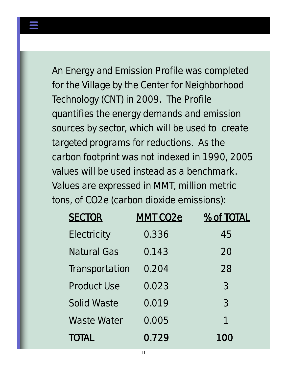*An Energy and Emission Profile was completed for the Village by the Center for Neighborhood Technology (CNT) in 2009. The Profile quantifies the energy demands and emission sources by sector, which will be used to create targeted programs for reductions. As the carbon footprint was not indexed in 1990, 2005 values will be used instead as a benchmark. Values are expressed in MMT, million metric tons, of CO2e (carbon dioxide emissions):*

| <b>SECTOR</b>  | <b>MMT CO2e</b> | % of TOTAL |
|----------------|-----------------|------------|
| Electricity    | 0.336           | 45         |
| Natural Gas    | 0.143           | 20         |
| Transportation | 0.204           | 28         |
| Product Use    | 0.023           | 3          |
| Solid Waste    | 0.019           | 3          |
| Waste Water    | 0.005           | 7          |
| TOTAL          | 0.729           |            |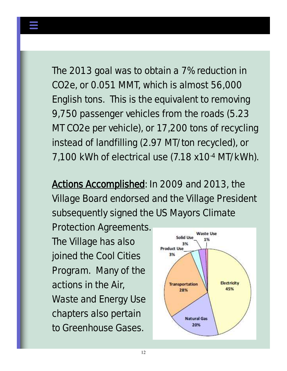*The 2013 goal was to obtain a 7% reduction in CO2e, or 0.051 MMT, which is almost 56,000 English tons. This is the equivalent to removing 9,750 passenger vehicles from the roads (5.23 MT CO2e per vehicle), or 17,200 tons of recycling instead of landfilling (2.97 MT/ton recycled), or 7,100 kWh of electrical use (7.18 x10-4 MT/kWh).*

*Actions Accomplished: In 2009 and 2013, the Village Board endorsed and the Village President subsequently signed the US Mayors Climate* 

*Protection Agreements. The Village has also joined the Cool Cities Program. Many of the actions in the Air, Waste and Energy Use chapters also pertain to Greenhouse Gases.*

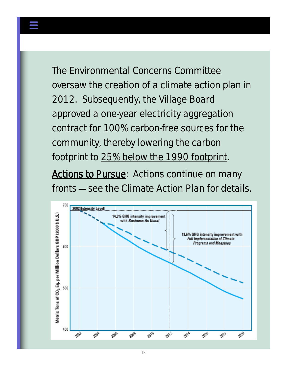*The Environmental Concerns Committee oversaw the creation of a climate action plan in 2012. Subsequently, the Village Board approved a one-year electricity aggregation contract for 100% carbon-free sources for the community, thereby lowering the carbon footprint to 25% below the 1990 footprint.*

*Actions to Pursue: Actions continue on many fronts — see the Climate Action Plan for details.*

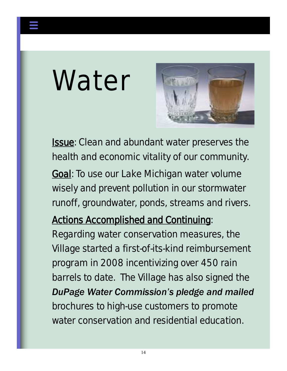## Water



*Issue: Clean and abundant water preserves the health and economic vitality of our community. Goal: To use our Lake Michigan water volume wisely and prevent pollution in our stormwater runoff, groundwater, ponds, streams and rivers.*

### *Actions Accomplished and Continuing:*

*Regarding water conservation measures, the Village started a first-of-its-kind reimbursement program in 2008 incentivizing over 450 rain barrels to date. The Village has also signed the DuPage Water Commission's pledge and mailed brochures to high-use customers to promote water conservation and residential education.*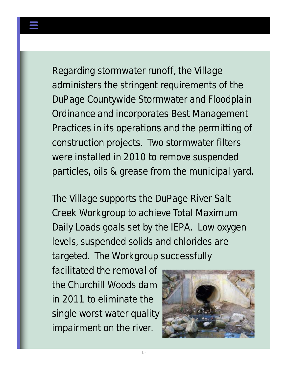*Regarding stormwater runoff, the Village administers the stringent requirements of the DuPage Countywide Stormwater and Floodplain Ordinance and incorporates Best Management Practices in its operations and the permitting of construction projects. Two stormwater filters were installed in 2010 to remove suspended particles, oils & grease from the municipal yard.* 

*The Village supports the DuPage River Salt Creek Workgroup to achieve Total Maximum Daily Loads goals set by the IEPA. Low oxygen levels, suspended solids and chlorides are targeted. The Workgroup successfully* 

*facilitated the removal of the Churchill Woods dam in 2011 to eliminate the single worst water quality impairment on the river.* 

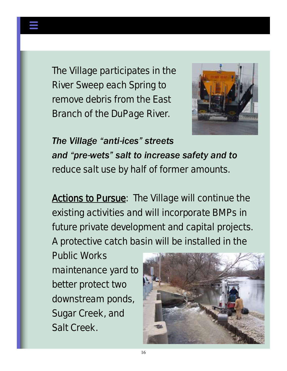*The Village participates in the River Sweep each Spring to remove debris from the East Branch of the DuPage River.* 



*The Village "anti-ices" streets and "pre-wets" salt to increase safety and to reduce salt use by half of former amounts.*

*Actions to Pursue: The Village will continue the existing activities and will incorporate BMPs in future private development and capital projects. A protective catch basin will be installed in the* 

*Public Works maintenance yard to better protect two downstream ponds, Sugar Creek, and Salt Creek.*

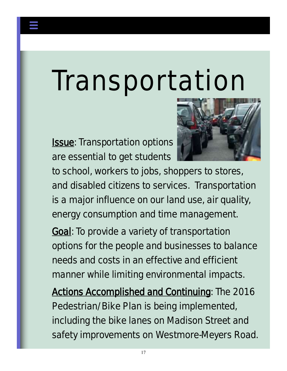## Transportation

*Issue: Transportation options are essential to get students* 



*to school, workers to jobs, shoppers to stores, and disabled citizens to services. Transportation is a major influence on our land use, air quality, energy consumption and time management.*

*Goal: To provide a variety of transportation options for the people and businesses to balance needs and costs in an effective and efficient manner while limiting environmental impacts.*

*Actions Accomplished and Continuing: The 2016 Pedestrian/Bike Plan is being implemented, including the bike lanes on Madison Street and safety improvements on Westmore-Meyers Road.*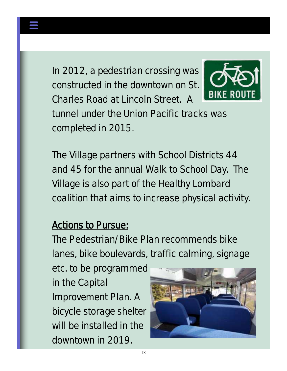*In 2012, a pedestrian crossing was constructed in the downtown on St. Charles Road at Lincoln Street. A* 



*tunnel under the Union Pacific tracks was completed in 2015.*

*The Village partners with School Districts 44 and 45 for the annual Walk to School Day. The Village is also part of the Healthy Lombard coalition that aims to increase physical activity.*

#### *Actions to Pursue:*

*The Pedestrian/Bike Plan recommends bike lanes, bike boulevards, traffic calming, signage* 

*etc. to be programmed in the Capital Improvement Plan. A bicycle storage shelter will be installed in the downtown in 2019.*

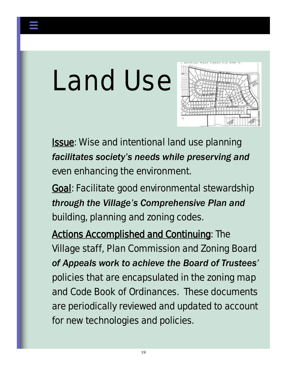

# Land Use



*Issue: Wise and intentional land use planning facilitates society's needs while preserving and even enhancing the environment.*

*Goal: Facilitate good environmental stewardship through the Village's Comprehensive Plan and building, planning and zoning codes.*

*Actions Accomplished and Continuing: The Village staff, Plan Commission and Zoning Board of Appeals work to achieve the Board of Trustees' policies that are encapsulated in the zoning map and Code Book of Ordinances. These documents are periodically reviewed and updated to account for new technologies and policies.*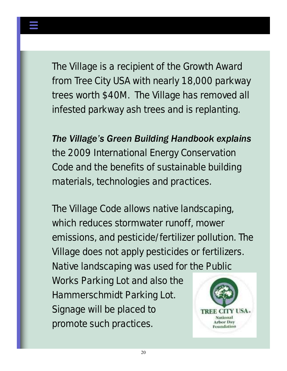*The Village is a recipient of the Growth Award from Tree City USA with nearly 18,000 parkway trees worth \$40M. The Village has removed all infested parkway ash trees and is replanting.* 

*The Village's Green Building Handbook explains the 2009 International Energy Conservation Code and the benefits of sustainable building materials, technologies and practices.*

*The Village Code allows native landscaping, which reduces stormwater runoff, mower emissions, and pesticide/fertilizer pollution. The Village does not apply pesticides or fertilizers. Native landscaping was used for the Public Works Parking Lot and also the Hammerschmidt Parking Lot. Signage will be placed to*  National *promote such practices.***Arbor Day** Foundation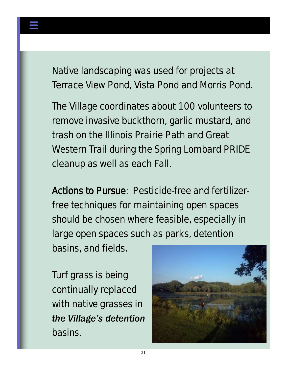*Native landscaping was used for projects at Terrace View Pond, Vista Pond and Morris Pond.* 

*The Village coordinates about 100 volunteers to remove invasive buckthorn, garlic mustard, and trash on the Illinois Prairie Path and Great Western Trail during the Spring Lombard PRIDE cleanup as well as each Fall.*

*Actions to Pursue: Pesticide-free and fertilizerfree techniques for maintaining open spaces should be chosen where feasible, especially in large open spaces such as parks, detention basins, and fields.*

*Turf grass is being continually replaced with native grasses in the Village's detention basins.*

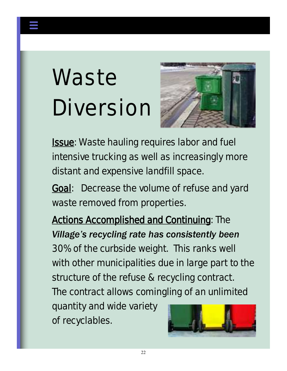### Waste Diversion



*Issue: Waste hauling requires labor and fuel intensive trucking as well as increasingly more distant and expensive landfill space.*

*Goal: Decrease the volume of refuse and yard waste removed from properties.*

*Actions Accomplished and Continuing: The Village's recycling rate has consistently been 30% of the curbside weight. This ranks well with other municipalities due in large part to the structure of the refuse & recycling contract. The contract allows comingling of an unlimited quantity and wide variety of recyclables.*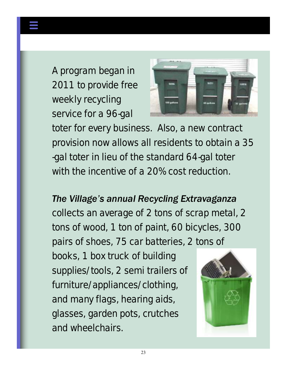*A program began in 2011 to provide free weekly recycling service for a 96-gal* 



*toter for every business. Also, a new contract provision now allows all residents to obtain a 35 -gal toter in lieu of the standard 64-gal toter with the incentive of a 20% cost reduction.*

### *The Village's annual Recycling Extravaganza*

*collects an average of 2 tons of scrap metal, 2 tons of wood, 1 ton of paint, 60 bicycles, 300 pairs of shoes, 75 car batteries, 2 tons of* 

*books, 1 box truck of building supplies/tools, 2 semi trailers of furniture/appliances/clothing, and many flags, hearing aids, glasses, garden pots, crutches and wheelchairs.*

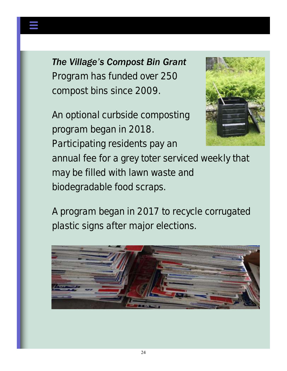

### *The Village's Compost Bin Grant*

*Program has funded over 250 compost bins since 2009.*

*An optional curbside composting program began in 2018. Participating residents pay an annual fee for a grey toter serviced weekly that may be filled with lawn waste and biodegradable food scraps.*



*A program began in 2017 to recycle corrugated plastic signs after major elections.*

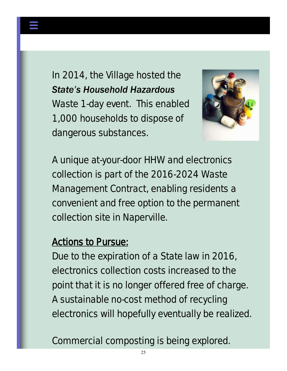*In 2014, the Village hosted the State's Household Hazardous Waste 1-day event. This enabled 1,000 households to dispose of dangerous substances.*



*A unique at-your-door HHW and electronics collection is part of the 2016-2024 Waste Management Contract, enabling residents a convenient and free option to the permanent collection site in Naperville.*

#### *Actions to Pursue:*

*Due to the expiration of a State law in 2016, electronics collection costs increased to the point that it is no longer offered free of charge. A sustainable no-cost method of recycling electronics will hopefully eventually be realized.*

*Commercial composting is being explored.*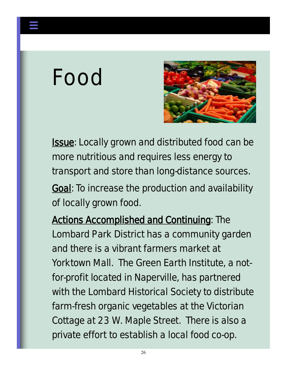### Food



**Issue**: Locally grown and distributed food can be *more nutritious and requires less energy to transport and store than long-distance sources.*

*Goal: To increase the production and availability of locally grown food.*

*Actions Accomplished and Continuing: The Lombard Park District has a community garden and there is a vibrant farmers market at Yorktown Mall. The Green Earth Institute, a notfor-profit located in Naperville, has partnered with the Lombard Historical Society to distribute farm-fresh organic vegetables at the Victorian Cottage at 23 W. Maple Street. There is also a private effort to establish a local food co-op.*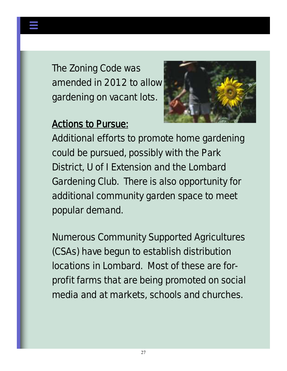*The Zoning Code was amended in 2012 to allow gardening on vacant lots.*



### *Actions to Pursue:*

*Additional efforts to promote home gardening could be pursued, possibly with the Park District, U of I Extension and the Lombard Gardening Club. There is also opportunity for additional community garden space to meet popular demand.*

*Numerous Community Supported Agricultures (CSAs) have begun to establish distribution locations in Lombard. Most of these are forprofit farms that are being promoted on social media and at markets, schools and churches.*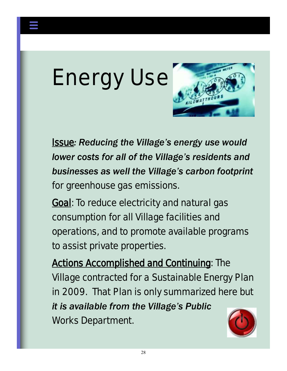



*Issue: Reducing the Village's energy use would lower costs for all of the Village's residents and businesses as well the Village's carbon footprint for greenhouse gas emissions.*

*Goal: To reduce electricity and natural gas consumption for all Village facilities and operations, and to promote available programs to assist private properties.*

*Actions Accomplished and Continuing: The Village contracted for a Sustainable Energy Plan in 2009. That Plan is only summarized here but it is available from the Village's Public Works Department.* 

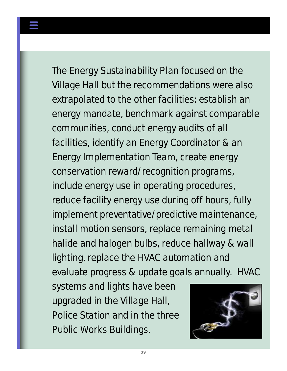*The Energy Sustainability Plan focused on the Village Hall but the recommendations were also extrapolated to the other facilities: establish an energy mandate, benchmark against comparable communities, conduct energy audits of all facilities, identify an Energy Coordinator & an Energy Implementation Team, create energy conservation reward/recognition programs, include energy use in operating procedures, reduce facility energy use during off hours, fully implement preventative/predictive maintenance, install motion sensors, replace remaining metal halide and halogen bulbs, reduce hallway & wall lighting, replace the HVAC automation and evaluate progress & update goals annually. HVAC systems and lights have been* 

*upgraded in the Village Hall, Police Station and in the three Public Works Buildings.* 

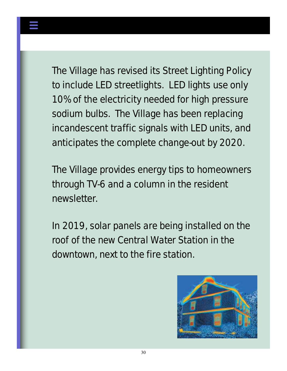*The Village has revised its Street Lighting Policy to include LED streetlights. LED lights use only 10% of the electricity needed for high pressure sodium bulbs. The Village has been replacing incandescent traffic signals with LED units, and anticipates the complete change-out by 2020.*

*The Village provides energy tips to homeowners through TV-6 and a column in the resident newsletter.*

*In 2019, solar panels are being installed on the roof of the new Central Water Station in the downtown, next to the fire station.*

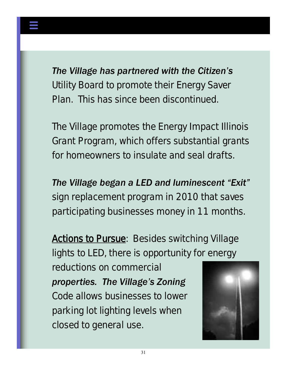*The Village has partnered with the Citizen's Utility Board to promote their Energy Saver Plan. This has since been discontinued.*

*The Village promotes the Energy Impact Illinois Grant Program, which offers substantial grants for homeowners to insulate and seal drafts.*

*The Village began a LED and luminescent "Exit" sign replacement program in 2010 that saves participating businesses money in 11 months.*

*Actions to Pursue: Besides switching Village lights to LED, there is opportunity for energy* 

*reductions on commercial properties. The Village's Zoning Code allows businesses to lower parking lot lighting levels when closed to general use.*